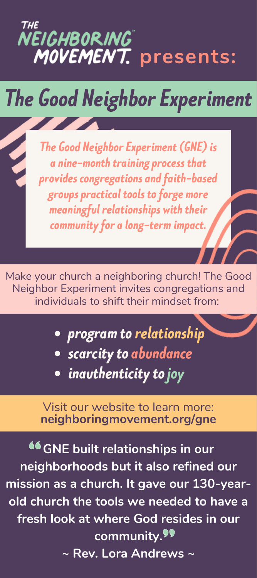

# *The Good Neighbor Experiment*

*The Good Neighbor Experiment(GNE)is a nine-month training process that provides congregations andfaith-based groupspractical tools toforge more meaningful relationships* with their *communityfor a long-term impact.*

Make your church a neighboring church! The Good Neighbor Experiment invites congregations and individuals to shift their mindset from:

- *program torelationship scarcityto abundance*
- **•** inauthenticity to joy

Visit our website to learn more: **neighboringmovement.org/gne**

**GNE built relationships in our neighborhoods but it also refined our mission as a church. It gave our 130-yearold church the tools we needed to have a fresh look at where God resides in our community. ~ Rev. Lora Andrews ~**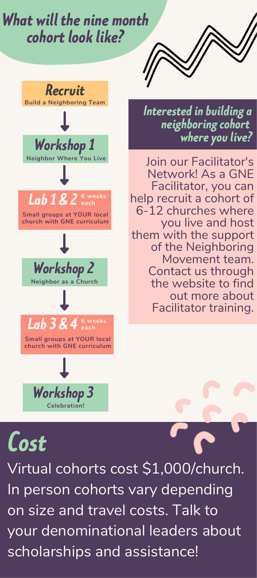### *What will thenine month cohort looklike?*



#### *Interestedinbuilding a neighboringcohort* where you live?

Join our Facilitator's Network! As a GNE Facilitator, you can help recruit a cohort of 6-12 churches where you live and host them with the support of the Neighboring Movement team. Contact us through the website to find out more about Facilitator training.

## *Cost*

Virtual cohorts cost \$1,000/church. In person cohorts vary depending on size and travel costs. Talk to your denominational leaders about scholarships and assistance!